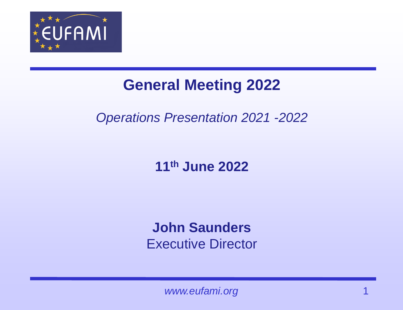

### **General Meeting 2022**

#### *Operations Presentation 2021 -2022*

#### **11th June 2022**

#### **John Saunders**  Executive Director

www.eufami.org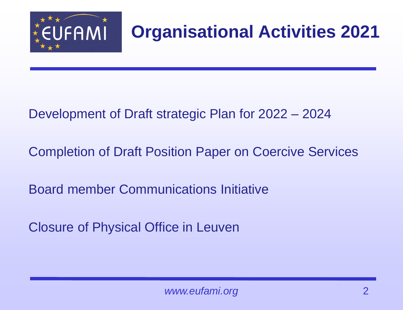

## **Organisational Activities 2021**

#### Development of Draft strategic Plan for 2022 – 2024

Completion of Draft Position Paper on Coercive Services

Board member Communications Initiative

Closure of Physical Office in Leuven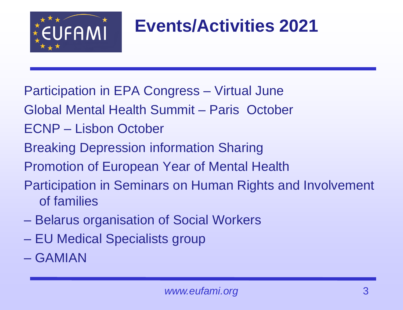

## **Events/Activities 2021**

- Participation in EPA Congress Virtual June
- Global Mental Health Summit Paris October
- ECNP Lisbon October
- Breaking Depression information Sharing
- Promotion of European Year of Mental Health
- Participation in Seminars on Human Rights and Involvement of families
- Belarus organisation of Social Workers
- EU Medical Specialists group
- GAMIAN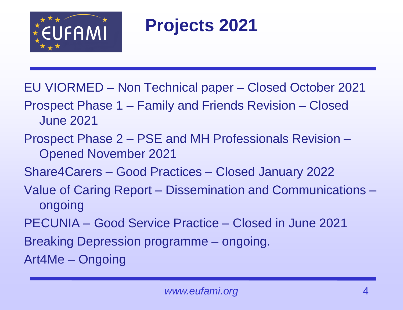

### **Projects 2021**

EU VIORMED – Non Technical paper – Closed October 2021

- Prospect Phase 1 Family and Friends Revision Closed June 2021
- Prospect Phase 2 PSE and MH Professionals Revision Opened November 2021
- Share4Carers Good Practices Closed January 2022
- Value of Caring Report Dissemination and Communications ongoing
- PECUNIA Good Service Practice Closed in June 2021
- Breaking Depression programme ongoing.

Art4Me – Ongoing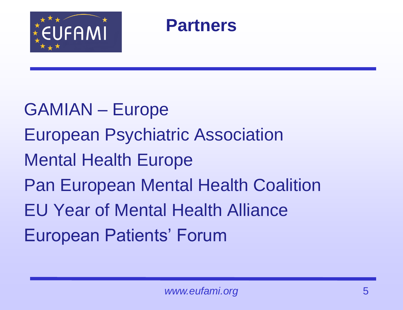

### **Partners**

GAMIAN – Europe European Psychiatric Association Mental Health Europe Pan European Mental Health Coalition EU Year of Mental Health Alliance European Patients' Forum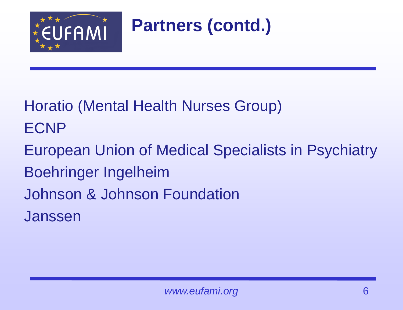

**Partners (contd.)**

Horatio (Mental Health Nurses Group) ECNP

European Union of Medical Specialists in Psychiatry Boehringer Ingelheim Johnson & Johnson Foundation Janssen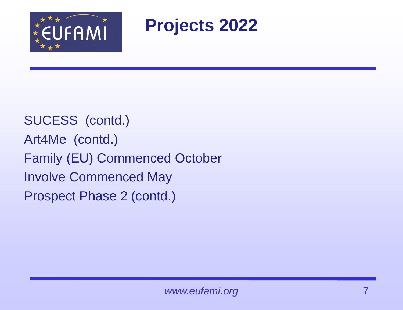

**Projects 2022** 

SUCESS (contd.) Art4Me (contd.) Family (EU) Commenced October Involve Commenced May Prospect Phase 2 (contd.)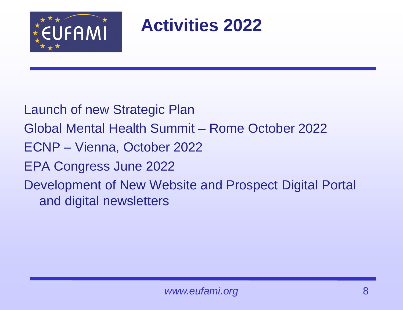

**Activities 2022**

Launch of new Strategic Plan Global Mental Health Summit – Rome October 2022 ECNP – Vienna, October 2022 EPA Congress June 2022 Development of New Website and Prospect Digital Portal and digital newsletters